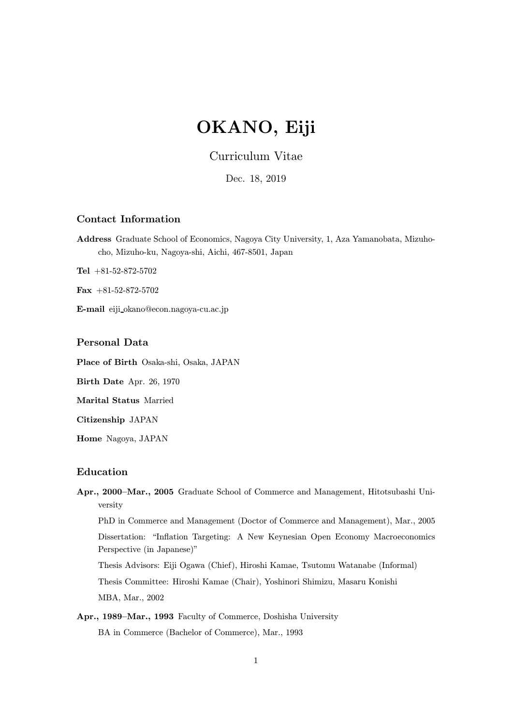# OKANO, Eiji

# Curriculum Vitae

Dec. 18, 2019

## Contact Information

Address Graduate School of Economics, Nagoya City University, 1, Aza Yamanobata, Mizuhocho, Mizuho-ku, Nagoya-shi, Aichi, 467-8501, Japan

Tel +81-52-872-5702

Fax  $+81-52-872-5702$ 

E-mail eiji okano@econ.nagoya-cu.ac.jp

## Personal Data

Place of Birth Osaka-shi, Osaka, JAPAN

Birth Date Apr. 26, 1970

Marital Status Married

Citizenship JAPAN

Home Nagoya, JAPAN

## Education

- Apr., 2000—Mar., 2005 Graduate School of Commerce and Management, Hitotsubashi University PhD in Commerce and Management (Doctor of Commerce and Management), Mar., 2005 Dissertation: "Inflation Targeting: A New Keynesian Open Economy Macroeconomics Perspective (in Japanese)" Thesis Advisors: Eiji Ogawa (Chief), Hiroshi Kamae, Tsutomu Watanabe (Informal) Thesis Committee: Hiroshi Kamae (Chair), Yoshinori Shimizu, Masaru Konishi MBA, Mar., 2002
- Apr., 1989—Mar., 1993 Faculty of Commerce, Doshisha University BA in Commerce (Bachelor of Commerce), Mar., 1993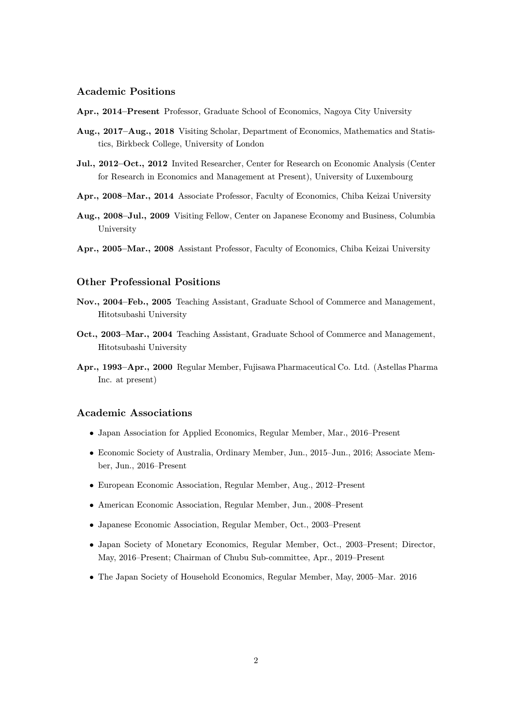#### Academic Positions

Apr., 2014—Present Professor, Graduate School of Economics, Nagoya City University

- Aug., 2017—Aug., 2018 Visiting Scholar, Department of Economics, Mathematics and Statistics, Birkbeck College, University of London
- Jul., 2012—Oct., 2012 Invited Researcher, Center for Research on Economic Analysis (Center for Research in Economics and Management at Present), University of Luxembourg
- Apr., 2008—Mar., 2014 Associate Professor, Faculty of Economics, Chiba Keizai University
- Aug., 2008—Jul., 2009 Visiting Fellow, Center on Japanese Economy and Business, Columbia University
- Apr., 2005—Mar., 2008 Assistant Professor, Faculty of Economics, Chiba Keizai University

## Other Professional Positions

- Nov., 2004—Feb., 2005 Teaching Assistant, Graduate School of Commerce and Management, Hitotsubashi University
- Oct., 2003—Mar., 2004 Teaching Assistant, Graduate School of Commerce and Management, Hitotsubashi University
- Apr., 1993—Apr., 2000 Regular Member, Fujisawa Pharmaceutical Co. Ltd. (Astellas Pharma Inc. at present)

## Academic Associations

- Japan Association for Applied Economics, Regular Member, Mar., 2016—Present
- Economic Society of Australia, Ordinary Member, Jun., 2015—Jun., 2016; Associate Member, Jun., 2016—Present
- European Economic Association, Regular Member, Aug., 2012—Present
- American Economic Association, Regular Member, Jun., 2008—Present
- Japanese Economic Association, Regular Member, Oct., 2003—Present
- Japan Society of Monetary Economics, Regular Member, Oct., 2003—Present; Director, May, 2016—Present; Chairman of Chubu Sub-committee, Apr., 2019—Present
- The Japan Society of Household Economics, Regular Member, May, 2005—Mar. 2016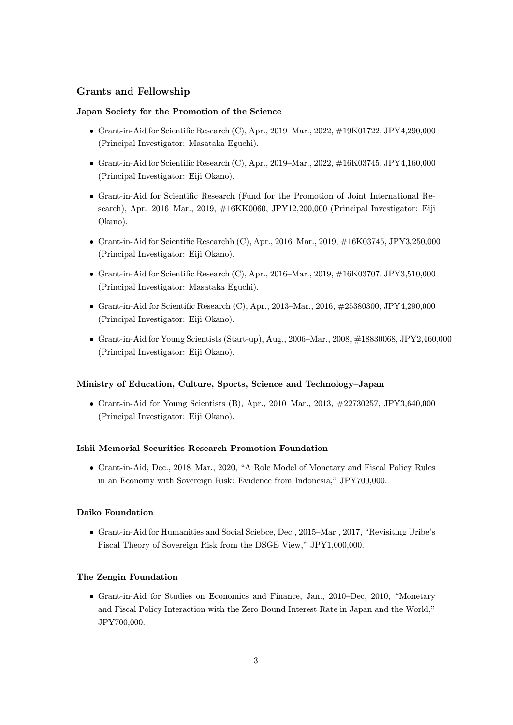# Grants and Fellowship

## Japan Society for the Promotion of the Science

- Grant-in-Aid for Scientific Research  $(C)$ , Apr., 2019–Mar., 2022,  $\#19K01722$ , JPY4,290,000 (Principal Investigator: Masataka Eguchi).
- Grant-in-Aid for Scientific Research  $(C)$ , Apr., 2019–Mar., 2022,  $\#16K03745$ , JPY4,160,000 (Principal Investigator: Eiji Okano).
- Grant-in-Aid for Scientific Research (Fund for the Promotion of Joint International Research), Apr. 2016—Mar., 2019, #16KK0060, JPY12,200,000 (Principal Investigator: Eiji Okano).
- Grant-in-Aid for Scientific Researchh  $(C)$ , Apr., 2016–Mar., 2019,  $\#16K03745$ , JPY3,250,000 (Principal Investigator: Eiji Okano).
- Grant-in-Aid for Scientific Research  $(C)$ , Apr., 2016–Mar., 2019,  $\#16K03707$ , JPY3,510,000 (Principal Investigator: Masataka Eguchi).
- Grant-in-Aid for Scientific Research (C), Apr., 2013—Mar., 2016, #25380300, JPY4,290,000 (Principal Investigator: Eiji Okano).
- Grant-in-Aid for Young Scientists (Start-up), Aug., 2006—Mar., 2008, #18830068, JPY2,460,000 (Principal Investigator: Eiji Okano).

#### Ministry of Education, Culture, Sports, Science and Technology—Japan

• Grant-in-Aid for Young Scientists  $(B)$ , Apr., 2010–Mar., 2013,  $\#22730257$ , JPY3,640,000 (Principal Investigator: Eiji Okano).

#### Ishii Memorial Securities Research Promotion Foundation

• Grant-in-Aid, Dec., 2018—Mar., 2020, "A Role Model of Monetary and Fiscal Policy Rules in an Economy with Sovereign Risk: Evidence from Indonesia," JPY700,000.

#### Daiko Foundation

• Grant-in-Aid for Humanities and Social Sciebce, Dec., 2015—Mar., 2017, "Revisiting Uribe's Fiscal Theory of Sovereign Risk from the DSGE View," JPY1,000,000.

#### The Zengin Foundation

• Grant-in-Aid for Studies on Economics and Finance, Jan., 2010—Dec, 2010, "Monetary and Fiscal Policy Interaction with the Zero Bound Interest Rate in Japan and the World," JPY700,000.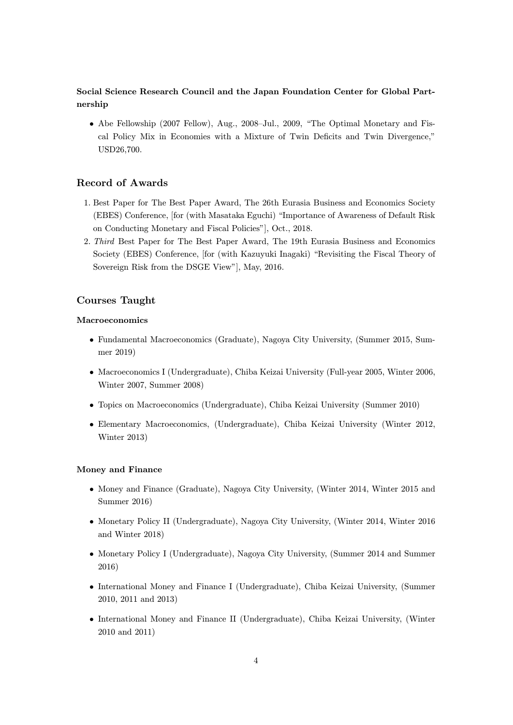# Social Science Research Council and the Japan Foundation Center for Global Partnership

• Abe Fellowship (2007 Fellow), Aug., 2008—Jul., 2009, "The Optimal Monetary and Fiscal Policy Mix in Economies with a Mixture of Twin Deficits and Twin Divergence," USD26,700.

# Record of Awards

- 1. Best Paper for The Best Paper Award, The 26th Eurasia Business and Economics Society (EBES) Conference, [for (with Masataka Eguchi) "Importance of Awareness of Default Risk on Conducting Monetary and Fiscal Policies"], Oct., 2018.
- 2. Third Best Paper for The Best Paper Award, The 19th Eurasia Business and Economics Society (EBES) Conference, [for (with Kazuyuki Inagaki) "Revisiting the Fiscal Theory of Sovereign Risk from the DSGE View"], May, 2016.

## Courses Taught

#### Macroeconomics

- Fundamental Macroeconomics (Graduate), Nagoya City University, (Summer 2015, Summer 2019)
- Macroeconomics I (Undergraduate), Chiba Keizai University (Full-year 2005, Winter 2006, Winter 2007, Summer 2008)
- Topics on Macroeconomics (Undergraduate), Chiba Keizai University (Summer 2010)
- Elementary Macroeconomics, (Undergraduate), Chiba Keizai University (Winter 2012, Winter 2013)

#### Money and Finance

- Money and Finance (Graduate), Nagoya City University, (Winter 2014, Winter 2015 and Summer 2016)
- Monetary Policy II (Undergraduate), Nagoya City University, (Winter 2014, Winter 2016 and Winter 2018)
- Monetary Policy I (Undergraduate), Nagoya City University, (Summer 2014 and Summer 2016)
- International Money and Finance I (Undergraduate), Chiba Keizai University, (Summer 2010, 2011 and 2013)
- International Money and Finance II (Undergraduate), Chiba Keizai University, (Winter 2010 and 2011)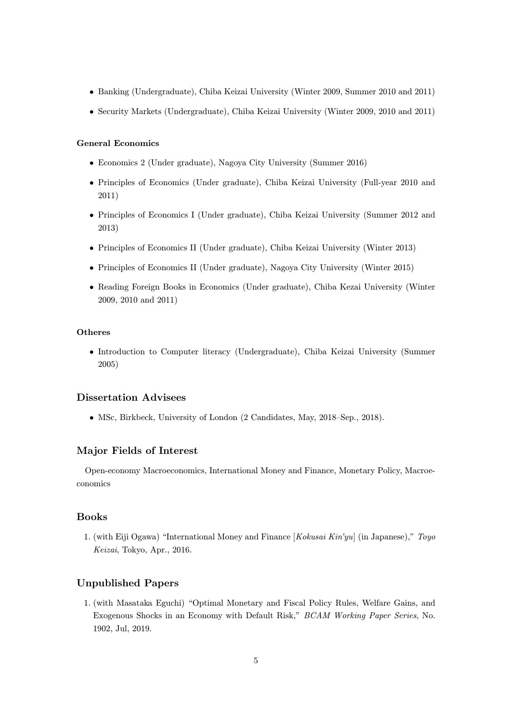- Banking (Undergraduate), Chiba Keizai University (Winter 2009, Summer 2010 and 2011)
- Security Markets (Undergraduate), Chiba Keizai University (Winter 2009, 2010 and 2011)

#### General Economics

- Economics 2 (Under graduate), Nagoya City University (Summer 2016)
- Principles of Economics (Under graduate), Chiba Keizai University (Full-year 2010 and 2011)
- Principles of Economics I (Under graduate), Chiba Keizai University (Summer 2012 and 2013)
- Principles of Economics II (Under graduate), Chiba Keizai University (Winter 2013)
- Principles of Economics II (Under graduate), Nagoya City University (Winter 2015)
- Reading Foreign Books in Economics (Under graduate), Chiba Kezai University (Winter 2009, 2010 and 2011)

#### Otheres

• Introduction to Computer literacy (Undergraduate), Chiba Keizai University (Summer 2005)

## Dissertation Advisees

• MSc, Birkbeck, University of London (2 Candidates, May, 2018—Sep., 2018).

# Major Fields of Interest

Open-economy Macroeconomics, International Money and Finance, Monetary Policy, Macroeconomics

## Books

1. (with Eiji Ogawa) "International Money and Finance  $[Kokusai Kin'yu]$  (in Japanese)," Toyo Keizai, Tokyo, Apr., 2016.

## Unpublished Papers

1. (with Masataka Eguchi) "Optimal Monetary and Fiscal Policy Rules, Welfare Gains, and Exogenous Shocks in an Economy with Default Risk," BCAM Working Paper Series, No. 1902, Jul, 2019.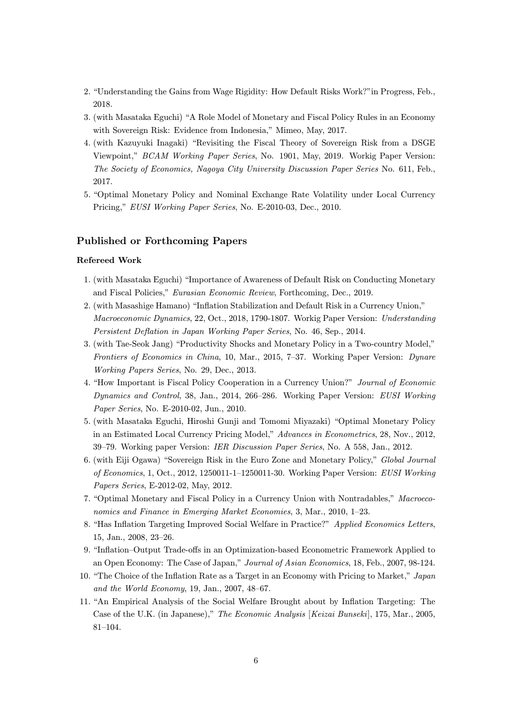- 2. "Understanding the Gains from Wage Rigidity: How Default Risks Work?"in Progress, Feb., 2018.
- 3. (with Masataka Eguchi) "A Role Model of Monetary and Fiscal Policy Rules in an Economy with Sovereign Risk: Evidence from Indonesia," Mimeo, May, 2017.
- 4. (with Kazuyuki Inagaki) "Revisiting the Fiscal Theory of Sovereign Risk from a DSGE Viewpoint," BCAM Working Paper Series, No. 1901, May, 2019. Workig Paper Version: The Society of Economics, Nagoya City University Discussion Paper Series No. 611, Feb., 2017.
- 5. "Optimal Monetary Policy and Nominal Exchange Rate Volatility under Local Currency Pricing," EUSI Working Paper Series, No. E-2010-03, Dec., 2010.

## Published or Forthcoming Papers

#### Refereed Work

- 1. (with Masataka Eguchi) "Importance of Awareness of Default Risk on Conducting Monetary and Fiscal Policies," Eurasian Economic Review, Forthcoming, Dec., 2019.
- 2. (with Masashige Hamano) "Inflation Stabilization and Default Risk in a Currency Union," Macroeconomic Dynamics, 22, Oct., 2018, 1790-1807. Workig Paper Version: Understanding Persistent Deflation in Japan Working Paper Series, No. 46, Sep., 2014.
- 3. (with Tae-Seok Jang) "Productivity Shocks and Monetary Policy in a Two-country Model," Frontiers of Economics in China, 10, Mar., 2015, 7—37. Working Paper Version: Dynare Working Papers Series, No. 29, Dec., 2013.
- 4. "How Important is Fiscal Policy Cooperation in a Currency Union?" Journal of Economic Dynamics and Control, 38, Jan., 2014, 266—286. Working Paper Version: EUSI Working Paper Series, No. E-2010-02, Jun., 2010.
- 5. (with Masataka Eguchi, Hiroshi Gunji and Tomomi Miyazaki) "Optimal Monetary Policy in an Estimated Local Currency Pricing Model," Advances in Econometrics, 28, Nov., 2012, 39—79. Working paper Version: IER Discussion Paper Series, No. A 558, Jan., 2012.
- 6. (with Eiji Ogawa) "Sovereign Risk in the Euro Zone and Monetary Policy," Global Journal of Economics, 1, Oct., 2012, 1250011-1—1250011-30. Working Paper Version: EUSI Working Papers Series, E-2012-02, May, 2012.
- 7. "Optimal Monetary and Fiscal Policy in a Currency Union with Nontradables," Macroeconomics and Finance in Emerging Market Economies, 3, Mar., 2010, 1—23.
- 8. "Has Inflation Targeting Improved Social Welfare in Practice?" Applied Economics Letters, 15, Jan., 2008, 23—26.
- 9. "Inflation—Output Trade-offs in an Optimization-based Econometric Framework Applied to an Open Economy: The Case of Japan," Journal of Asian Economics, 18, Feb., 2007, 98-124.
- 10. "The Choice of the Inflation Rate as a Target in an Economy with Pricing to Market," Japan and the World Economy, 19, Jan., 2007, 48—67.
- 11. "An Empirical Analysis of the Social Welfare Brought about by Inflation Targeting: The Case of the U.K. (in Japanese)," The Economic Analysis [Keizai Bunseki], 175, Mar., 2005, 81—104.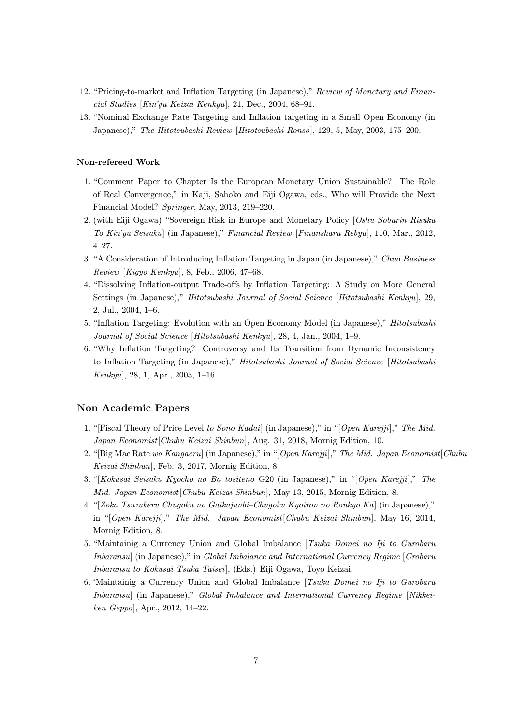- 12. "Pricing-to-market and Inflation Targeting (in Japanese)," Review of Monetary and Financial Studies [Kin'yu Keizai Kenkyu], 21, Dec., 2004, 68—91.
- 13. "Nominal Exchange Rate Targeting and Inflation targeting in a Small Open Economy (in Japanese)," The Hitotsubashi Review [Hitotsubashi Ronso], 129, 5, May, 2003, 175—200.

#### Non-refereed Work

- 1. "Comment Paper to Chapter Is the European Monetary Union Sustainable? The Role of Real Convergence," in Kaji, Sahoko and Eiji Ogawa, eds., Who will Provide the Next Financial Model? Springer, May, 2013, 219—220.
- 2. (with Eiji Ogawa) "Sovereign Risk in Europe and Monetary Policy [Oshu Soburin Risuku To Kin'yu Seisaku] (in Japanese)," Financial Review [Finansharu Rebyu], 110, Mar., 2012, 4—27.
- 3. "A Consideration of Introducing Inflation Targeting in Japan (in Japanese)," Chuo Business  $Review$  [Kigyo Kenkyu], 8, Feb., 2006, 47-68.
- 4. "Dissolving Inflation-output Trade-offs by Inflation Targeting: A Study on More General Settings (in Japanese)," Hitotsubashi Journal of Social Science [Hitotsubashi Kenkyu], 29, 2, Jul., 2004, 1—6.
- 5. "Inflation Targeting: Evolution with an Open Economy Model (in Japanese)," *Hitotsubashi* Journal of Social Science [Hitotsubashi Kenkyu], 28, 4, Jan., 2004, 1—9.
- 6. "Why Inflation Targeting? Controversy and Its Transition from Dynamic Inconsistency to Inflation Targeting (in Japanese)," Hitotsubashi Journal of Social Science [Hitotsubashi Kenkyu], 28, 1, Apr., 2003, 1—16.

## Non Academic Papers

- 1. "[Fiscal Theory of Price Level to Sono Kadai] (in Japanese)," in "[Open Karejji]," The Mid. Japan Economist[Chubu Keizai Shinbun], Aug. 31, 2018, Mornig Edition, 10.
- 2. "[Big Mac Rate wo Kangaeru] (in Japanese)," in "[Open Karejji]," The Mid. Japan Economist[Chubu Keizai Shinbun], Feb. 3, 2017, Mornig Edition, 8.
- 3. "[Kokusai Seisaku Kyocho no Ba tositeno G20 (in Japanese)," in "[Open Karejji]," The Mid. Japan Economist[Chubu Keizai Shinbun], May 13, 2015, Mornig Edition, 8.
- 4. "[Zoka Tsuzukeru Chugoku no Gaikajunbi—Chugoku Kyoiron no Ronkyo Ka] (in Japanese)," in "[Open Karejji]," The Mid. Japan Economist[Chubu Keizai Shinbun], May 16, 2014, Mornig Edition, 8.
- 5. "Maintainig a Currency Union and Global Imbalance [Tsuka Domei no Iji to Gurobaru Inbaransu] (in Japanese)," in Global Imbalance and International Currency Regime [Grobaru Inbaransu to Kokusai Tsuka Taisei], (Eds.) Eiji Ogawa, Toyo Keizai.
- 6. 'Maintainig a Currency Union and Global Imbalance [Tsuka Domei no Iji to Gurobaru Inbaransu] (in Japanese)," Global Imbalance and International Currency Regime [Nikkeiken Geppo], Apr., 2012, 14—22.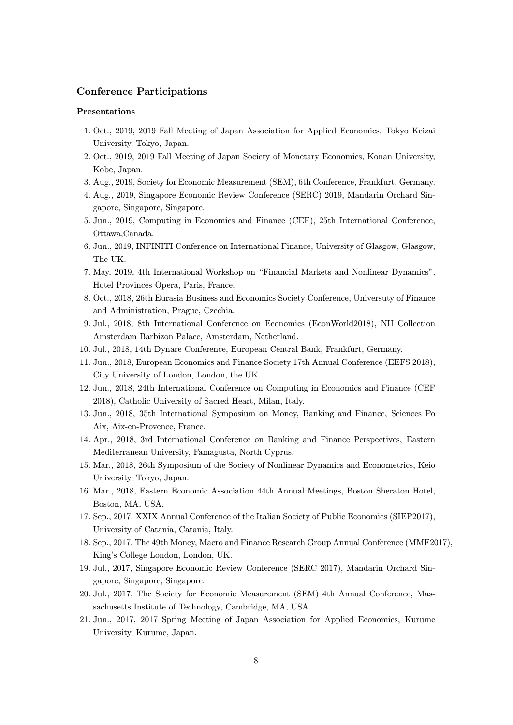## Conference Participations

#### Presentations

- 1. Oct., 2019, 2019 Fall Meeting of Japan Association for Applied Economics, Tokyo Keizai University, Tokyo, Japan.
- 2. Oct., 2019, 2019 Fall Meeting of Japan Society of Monetary Economics, Konan University, Kobe, Japan.
- 3. Aug., 2019, Society for Economic Measurement (SEM), 6th Conference, Frankfurt, Germany.
- 4. Aug., 2019, Singapore Economic Review Conference (SERC) 2019, Mandarin Orchard Singapore, Singapore, Singapore.
- 5. Jun., 2019, Computing in Economics and Finance (CEF), 25th International Conference, Ottawa,Canada.
- 6. Jun., 2019, INFINITI Conference on International Finance, University of Glasgow, Glasgow, The UK.
- 7. May, 2019, 4th International Workshop on "Financial Markets and Nonlinear Dynamics", Hotel Provinces Opera, Paris, France.
- 8. Oct., 2018, 26th Eurasia Business and Economics Society Conference, Universuty of Finance and Administration, Prague, Czechia.
- 9. Jul., 2018, 8th International Conference on Economics (EconWorld2018), NH Collection Amsterdam Barbizon Palace, Amsterdam, Netherland.
- 10. Jul., 2018, 14th Dynare Conference, European Central Bank, Frankfurt, Germany.
- 11. Jun., 2018, European Economics and Finance Society 17th Annual Conference (EEFS 2018), City University of London, London, the UK.
- 12. Jun., 2018, 24th International Conference on Computing in Economics and Finance (CEF 2018), Catholic University of Sacred Heart, Milan, Italy.
- 13. Jun., 2018, 35th International Symposium on Money, Banking and Finance, Sciences Po Aix, Aix-en-Provence, France.
- 14. Apr., 2018, 3rd International Conference on Banking and Finance Perspectives, Eastern Mediterranean University, Famagusta, North Cyprus.
- 15. Mar., 2018, 26th Symposium of the Society of Nonlinear Dynamics and Econometrics, Keio University, Tokyo, Japan.
- 16. Mar., 2018, Eastern Economic Association 44th Annual Meetings, Boston Sheraton Hotel, Boston, MA, USA.
- 17. Sep., 2017, XXIX Annual Conference of the Italian Society of Public Economics (SIEP2017), University of Catania, Catania, Italy.
- 18. Sep., 2017, The 49th Money, Macro and Finance Research Group Annual Conference (MMF2017), King's College London, London, UK.
- 19. Jul., 2017, Singapore Economic Review Conference (SERC 2017), Mandarin Orchard Singapore, Singapore, Singapore.
- 20. Jul., 2017, The Society for Economic Measurement (SEM) 4th Annual Conference, Massachusetts Institute of Technology, Cambridge, MA, USA.
- 21. Jun., 2017, 2017 Spring Meeting of Japan Association for Applied Economics, Kurume University, Kurume, Japan.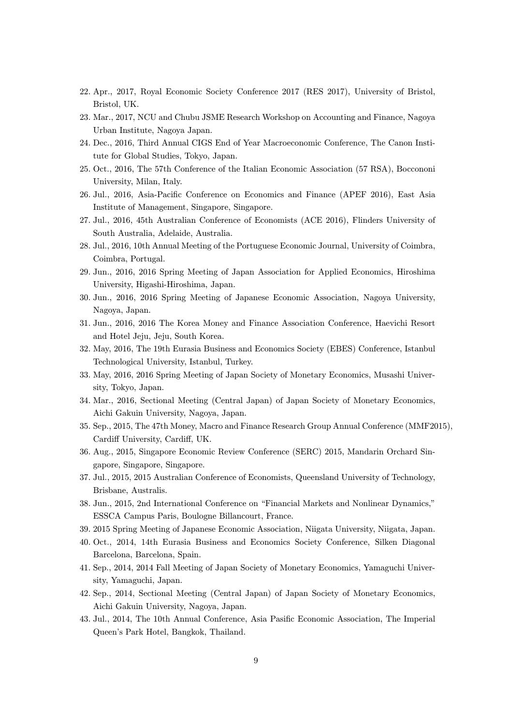- 22. Apr., 2017, Royal Economic Society Conference 2017 (RES 2017), University of Bristol, Bristol, UK.
- 23. Mar., 2017, NCU and Chubu JSME Research Workshop on Accounting and Finance, Nagoya Urban Institute, Nagoya Japan.
- 24. Dec., 2016, Third Annual CIGS End of Year Macroeconomic Conference, The Canon Institute for Global Studies, Tokyo, Japan.
- 25. Oct., 2016, The 57th Conference of the Italian Economic Association (57 RSA), Boccononi University, Milan, Italy.
- 26. Jul., 2016, Asia-Pacific Conference on Economics and Finance (APEF 2016), East Asia Institute of Management, Singapore, Singapore.
- 27. Jul., 2016, 45th Australian Conference of Economists (ACE 2016), Flinders University of South Australia, Adelaide, Australia.
- 28. Jul., 2016, 10th Annual Meeting of the Portuguese Economic Journal, University of Coimbra, Coimbra, Portugal.
- 29. Jun., 2016, 2016 Spring Meeting of Japan Association for Applied Economics, Hiroshima University, Higashi-Hiroshima, Japan.
- 30. Jun., 2016, 2016 Spring Meeting of Japanese Economic Association, Nagoya University, Nagoya, Japan.
- 31. Jun., 2016, 2016 The Korea Money and Finance Association Conference, Haevichi Resort and Hotel Jeju, Jeju, South Korea.
- 32. May, 2016, The 19th Eurasia Business and Economics Society (EBES) Conference, Istanbul Technological University, Istanbul, Turkey.
- 33. May, 2016, 2016 Spring Meeting of Japan Society of Monetary Economics, Musashi University, Tokyo, Japan.
- 34. Mar., 2016, Sectional Meeting (Central Japan) of Japan Society of Monetary Economics, Aichi Gakuin University, Nagoya, Japan.
- 35. Sep., 2015, The 47th Money, Macro and Finance Research Group Annual Conference (MMF2015), Cardiff University, Cardiff, UK.
- 36. Aug., 2015, Singapore Economic Review Conference (SERC) 2015, Mandarin Orchard Singapore, Singapore, Singapore.
- 37. Jul., 2015, 2015 Australian Conference of Economists, Queensland University of Technology, Brisbane, Australis.
- 38. Jun., 2015, 2nd International Conference on "Financial Markets and Nonlinear Dynamics," ESSCA Campus Paris, Boulogne Billancourt, France.
- 39. 2015 Spring Meeting of Japanese Economic Association, Niigata University, Niigata, Japan.
- 40. Oct., 2014, 14th Eurasia Business and Economics Society Conference, Silken Diagonal Barcelona, Barcelona, Spain.
- 41. Sep., 2014, 2014 Fall Meeting of Japan Society of Monetary Economics, Yamaguchi University, Yamaguchi, Japan.
- 42. Sep., 2014, Sectional Meeting (Central Japan) of Japan Society of Monetary Economics, Aichi Gakuin University, Nagoya, Japan.
- 43. Jul., 2014, The 10th Annual Conference, Asia Pasific Economic Association, The Imperial Queen's Park Hotel, Bangkok, Thailand.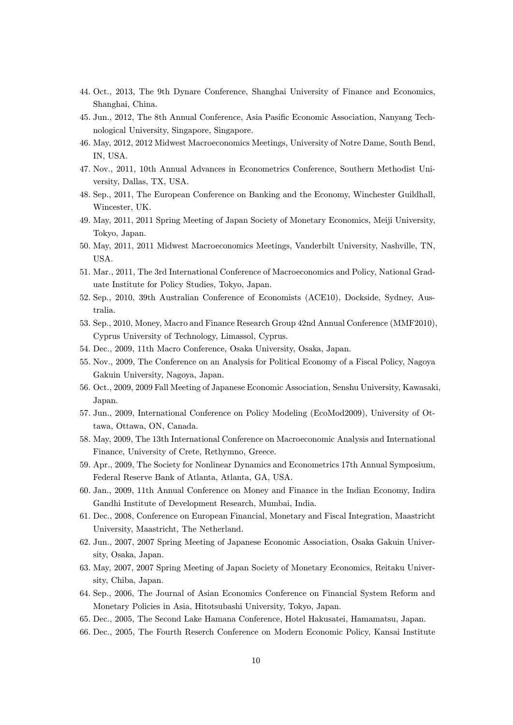- 44. Oct., 2013, The 9th Dynare Conference, Shanghai University of Finance and Economics, Shanghai, China.
- 45. Jun., 2012, The 8th Annual Conference, Asia Pasific Economic Association, Nanyang Technological University, Singapore, Singapore.
- 46. May, 2012, 2012 Midwest Macroeconomics Meetings, University of Notre Dame, South Bend, IN, USA.
- 47. Nov., 2011, 10th Annual Advances in Econometrics Conference, Southern Methodist University, Dallas, TX, USA.
- 48. Sep., 2011, The European Conference on Banking and the Economy, Winchester Guildhall, Wincester, UK.
- 49. May, 2011, 2011 Spring Meeting of Japan Society of Monetary Economics, Meiji University, Tokyo, Japan.
- 50. May, 2011, 2011 Midwest Macroeconomics Meetings, Vanderbilt University, Nashville, TN, USA.
- 51. Mar., 2011, The 3rd International Conference of Macroeconomics and Policy, National Graduate Institute for Policy Studies, Tokyo, Japan.
- 52. Sep., 2010, 39th Australian Conference of Economists (ACE10), Dockside, Sydney, Australia.
- 53. Sep., 2010, Money, Macro and Finance Research Group 42nd Annual Conference (MMF2010), Cyprus University of Technology, Limassol, Cyprus.
- 54. Dec., 2009, 11th Macro Conference, Osaka University, Osaka, Japan.
- 55. Nov., 2009, The Conference on an Analysis for Political Economy of a Fiscal Policy, Nagoya Gakuin University, Nagoya, Japan.
- 56. Oct., 2009, 2009 Fall Meeting of Japanese Economic Association, Senshu University, Kawasaki, Japan.
- 57. Jun., 2009, International Conference on Policy Modeling (EcoMod2009), University of Ottawa, Ottawa, ON, Canada.
- 58. May, 2009, The 13th International Conference on Macroeconomic Analysis and International Finance, University of Crete, Rethymno, Greece.
- 59. Apr., 2009, The Society for Nonlinear Dynamics and Econometrics 17th Annual Symposium, Federal Reserve Bank of Atlanta, Atlanta, GA, USA.
- 60. Jan., 2009, 11th Annual Conference on Money and Finance in the Indian Economy, Indira Gandhi Institute of Development Research, Mumbai, India.
- 61. Dec., 2008, Conference on European Financial, Monetary and Fiscal Integration, Maastricht University, Maastricht, The Netherland.
- 62. Jun., 2007, 2007 Spring Meeting of Japanese Economic Association, Osaka Gakuin University, Osaka, Japan.
- 63. May, 2007, 2007 Spring Meeting of Japan Society of Monetary Economics, Reitaku University, Chiba, Japan.
- 64. Sep., 2006, The Journal of Asian Economics Conference on Financial System Reform and Monetary Policies in Asia, Hitotsubashi University, Tokyo, Japan.
- 65. Dec., 2005, The Second Lake Hamana Conference, Hotel Hakusatei, Hamamatsu, Japan.
- 66. Dec., 2005, The Fourth Reserch Conference on Modern Economic Policy, Kansai Institute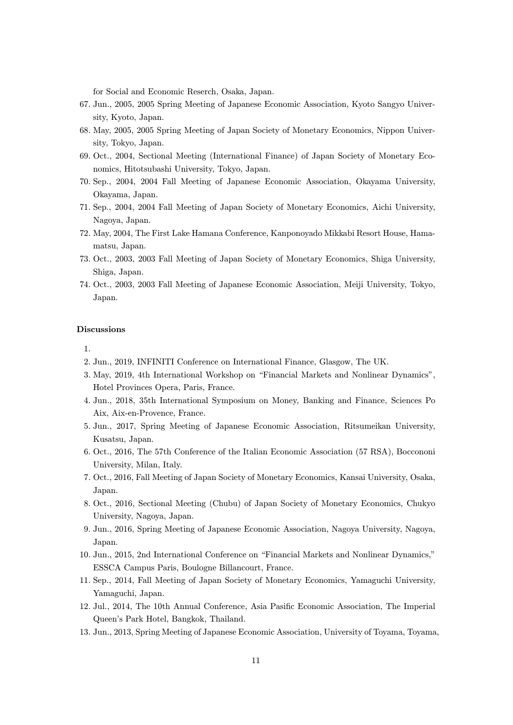for Social and Economic Reserch, Osaka, Japan.

- 67. Jun., 2005, 2005 Spring Meeting of Japanese Economic Association, Kyoto Sangyo University, Kyoto, Japan.
- 68. May, 2005, 2005 Spring Meeting of Japan Society of Monetary Economics, Nippon University, Tokyo, Japan.
- 69. Oct., 2004, Sectional Meeting (International Finance) of Japan Society of Monetary Economics, Hitotsubashi University, Tokyo, Japan.
- 70. Sep., 2004, 2004 Fall Meeting of Japanese Economic Association, Okayama University, Okayama, Japan.
- 71. Sep., 2004, 2004 Fall Meeting of Japan Society of Monetary Economics, Aichi University, Nagoya, Japan.
- 72. May, 2004, The First Lake Hamana Conference, Kanponoyado Mikkabi Resort House, Hamamatsu, Japan.
- 73. Oct., 2003, 2003 Fall Meeting of Japan Society of Monetary Economics, Shiga University, Shiga, Japan.
- 74. Oct., 2003, 2003 Fall Meeting of Japanese Economic Association, Meiji University, Tokyo, Japan.

#### Discussions

- 1.
- 2. Jun., 2019, INFINITI Conference on International Finance, Glasgow, The UK.
- 3. May, 2019, 4th International Workshop on "Financial Markets and Nonlinear Dynamics", Hotel Provinces Opera, Paris, France.
- 4. Jun., 2018, 35th International Symposium on Money, Banking and Finance, Sciences Po Aix, Aix-en-Provence, France.
- 5. Jun., 2017, Spring Meeting of Japanese Economic Association, Ritsumeikan University, Kusatsu, Japan.
- 6. Oct., 2016, The 57th Conference of the Italian Economic Association (57 RSA), Boccononi University, Milan, Italy.
- 7. Oct., 2016, Fall Meeting of Japan Society of Monetary Economics, Kansai University, Osaka, Japan.
- 8. Oct., 2016, Sectional Meeting (Chubu) of Japan Society of Monetary Economics, Chukyo University, Nagoya, Japan.
- 9. Jun., 2016, Spring Meeting of Japanese Economic Association, Nagoya University, Nagoya, Japan.
- 10. Jun., 2015, 2nd International Conference on "Financial Markets and Nonlinear Dynamics," ESSCA Campus Paris, Boulogne Billancourt, France.
- 11. Sep., 2014, Fall Meeting of Japan Society of Monetary Economics, Yamaguchi University, Yamaguchi, Japan.
- 12. Jul., 2014, The 10th Annual Conference, Asia Pasific Economic Association, The Imperial Queen's Park Hotel, Bangkok, Thailand.
- 13. Jun., 2013, Spring Meeting of Japanese Economic Association, University of Toyama, Toyama,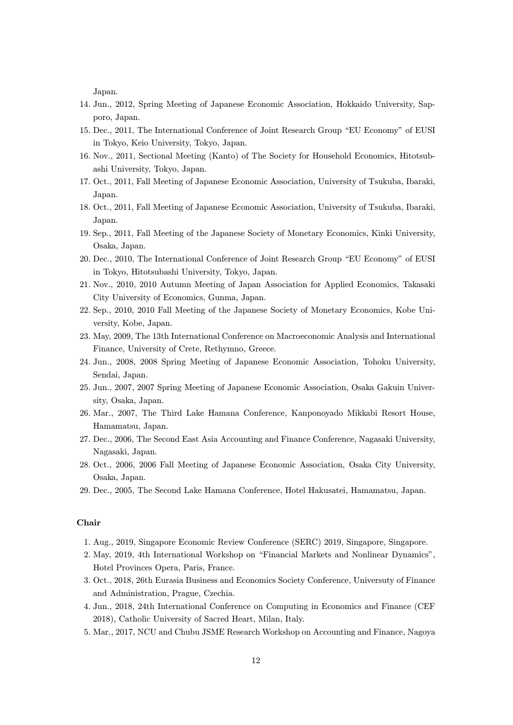Japan.

- 14. Jun., 2012, Spring Meeting of Japanese Economic Association, Hokkaido University, Sapporo, Japan.
- 15. Dec., 2011, The International Conference of Joint Research Group "EU Economy" of EUSI in Tokyo, Keio University, Tokyo, Japan.
- 16. Nov., 2011, Sectional Meeting (Kanto) of The Society for Household Economics, Hitotsubashi University, Tokyo, Japan.
- 17. Oct., 2011, Fall Meeting of Japanese Economic Association, University of Tsukuba, Ibaraki, Japan.
- 18. Oct., 2011, Fall Meeting of Japanese Economic Association, University of Tsukuba, Ibaraki, Japan.
- 19. Sep., 2011, Fall Meeting of the Japanese Society of Monetary Economics, Kinki University, Osaka, Japan.
- 20. Dec., 2010, The International Conference of Joint Research Group "EU Economy" of EUSI in Tokyo, Hitotsubashi University, Tokyo, Japan.
- 21. Nov., 2010, 2010 Autumn Meeting of Japan Association for Applied Economics, Takasaki City University of Economics, Gunma, Japan.
- 22. Sep., 2010, 2010 Fall Meeting of the Japanese Society of Monetary Economics, Kobe University, Kobe, Japan.
- 23. May, 2009, The 13th International Conference on Macroeconomic Analysis and International Finance, University of Crete, Rethymno, Greece.
- 24. Jun., 2008, 2008 Spring Meeting of Japanese Economic Association, Tohoku University, Sendai, Japan.
- 25. Jun., 2007, 2007 Spring Meeting of Japanese Economic Association, Osaka Gakuin University, Osaka, Japan.
- 26. Mar., 2007, The Third Lake Hamana Conference, Kanponoyado Mikkabi Resort House, Hamamatsu, Japan.
- 27. Dec., 2006, The Second East Asia Accounting and Finance Conference, Nagasaki University, Nagasaki, Japan.
- 28. Oct., 2006, 2006 Fall Meeting of Japanese Economic Association, Osaka City University, Osaka, Japan.
- 29. Dec., 2005, The Second Lake Hamana Conference, Hotel Hakusatei, Hamamatsu, Japan.

## Chair

- 1. Aug., 2019, Singapore Economic Review Conference (SERC) 2019, Singapore, Singapore.
- 2. May, 2019, 4th International Workshop on "Financial Markets and Nonlinear Dynamics", Hotel Provinces Opera, Paris, France.
- 3. Oct., 2018, 26th Eurasia Business and Economics Society Conference, Universuty of Finance and Administration, Prague, Czechia.
- 4. Jun., 2018, 24th International Conference on Computing in Economics and Finance (CEF 2018), Catholic University of Sacred Heart, Milan, Italy.
- 5. Mar., 2017, NCU and Chubu JSME Research Workshop on Accounting and Finance, Nagoya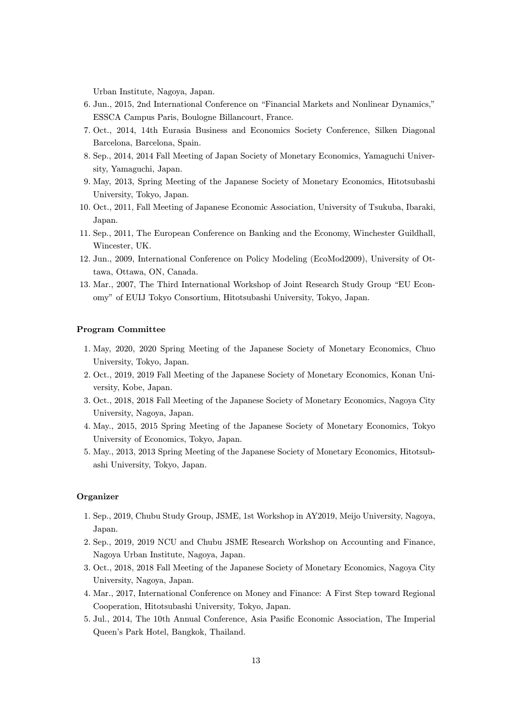Urban Institute, Nagoya, Japan.

- 6. Jun., 2015, 2nd International Conference on "Financial Markets and Nonlinear Dynamics," ESSCA Campus Paris, Boulogne Billancourt, France.
- 7. Oct., 2014, 14th Eurasia Business and Economics Society Conference, Silken Diagonal Barcelona, Barcelona, Spain.
- 8. Sep., 2014, 2014 Fall Meeting of Japan Society of Monetary Economics, Yamaguchi University, Yamaguchi, Japan.
- 9. May, 2013, Spring Meeting of the Japanese Society of Monetary Economics, Hitotsubashi University, Tokyo, Japan.
- 10. Oct., 2011, Fall Meeting of Japanese Economic Association, University of Tsukuba, Ibaraki, Japan.
- 11. Sep., 2011, The European Conference on Banking and the Economy, Winchester Guildhall, Wincester, UK.
- 12. Jun., 2009, International Conference on Policy Modeling (EcoMod2009), University of Ottawa, Ottawa, ON, Canada.
- 13. Mar., 2007, The Third International Workshop of Joint Research Study Group "EU Economy" of EUIJ Tokyo Consortium, Hitotsubashi University, Tokyo, Japan.

#### Program Committee

- 1. May, 2020, 2020 Spring Meeting of the Japanese Society of Monetary Economics, Chuo University, Tokyo, Japan.
- 2. Oct., 2019, 2019 Fall Meeting of the Japanese Society of Monetary Economics, Konan University, Kobe, Japan.
- 3. Oct., 2018, 2018 Fall Meeting of the Japanese Society of Monetary Economics, Nagoya City University, Nagoya, Japan.
- 4. May., 2015, 2015 Spring Meeting of the Japanese Society of Monetary Economics, Tokyo University of Economics, Tokyo, Japan.
- 5. May., 2013, 2013 Spring Meeting of the Japanese Society of Monetary Economics, Hitotsubashi University, Tokyo, Japan.

#### Organizer

- 1. Sep., 2019, Chubu Study Group, JSME, 1st Workshop in AY2019, Meijo University, Nagoya, Japan.
- 2. Sep., 2019, 2019 NCU and Chubu JSME Research Workshop on Accounting and Finance, Nagoya Urban Institute, Nagoya, Japan.
- 3. Oct., 2018, 2018 Fall Meeting of the Japanese Society of Monetary Economics, Nagoya City University, Nagoya, Japan.
- 4. Mar., 2017, International Conference on Money and Finance: A First Step toward Regional Cooperation, Hitotsubashi University, Tokyo, Japan.
- 5. Jul., 2014, The 10th Annual Conference, Asia Pasific Economic Association, The Imperial Queen's Park Hotel, Bangkok, Thailand.